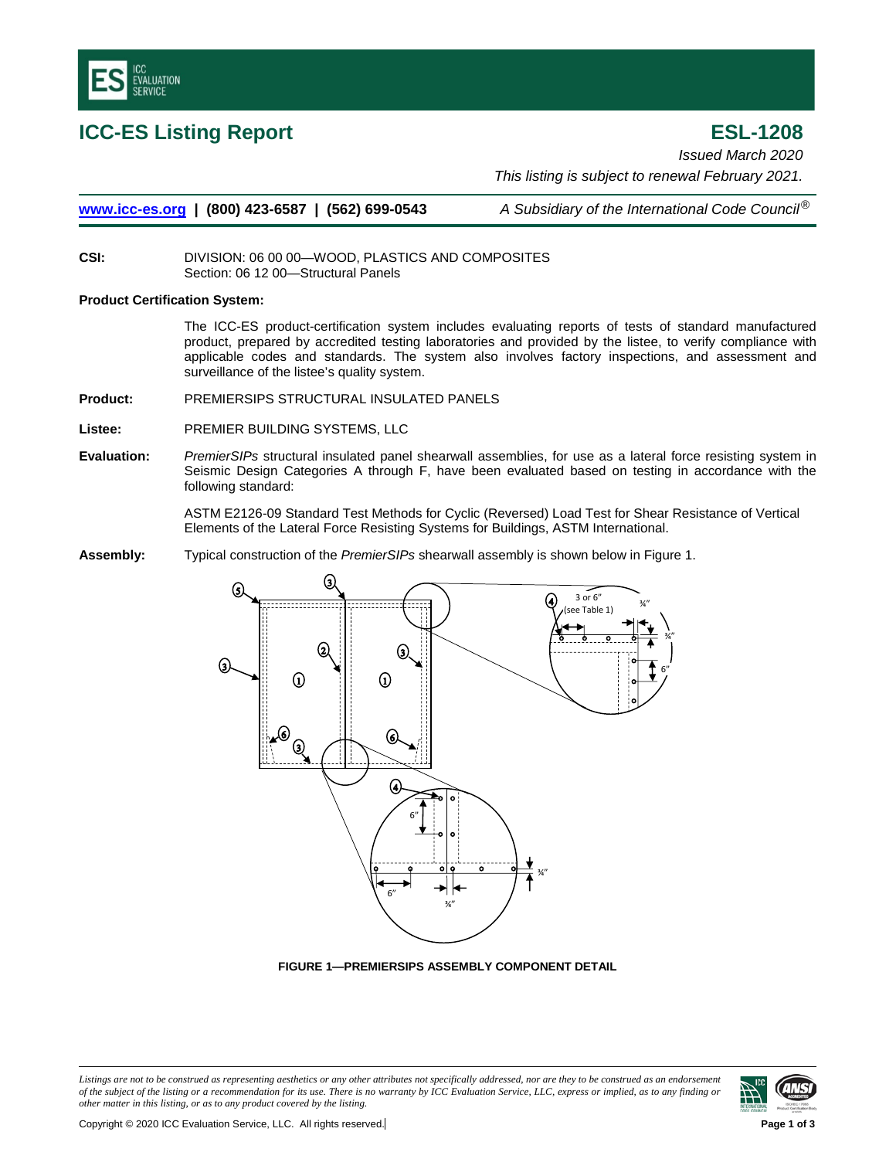

**ICC-ES Listing Report ESL-1208** *Issued March 2020 This listing is subject to renewal February 2021.*

**[www.icc-es.org](http://www.icc-es.org/) | (800) 423-6587 | (562) 699-0543** *A Subsidiary of the International Code Council*®

**CSI:** DIVISION: 06 00 00—WOOD, PLASTICS AND COMPOSITES Section: 06 12 00—Structural Panels

## **Product Certification System:**

The ICC-ES product-certification system includes evaluating reports of tests of standard manufactured product, prepared by accredited testing laboratories and provided by the listee, to verify compliance with applicable codes and standards. The system also involves factory inspections, and assessment and surveillance of the listee's quality system.

**Product:** PREMIERSIPS STRUCTURAL INSULATED PANELS

**Listee:** PREMIER BUILDING SYSTEMS, LLC

**Evaluation:** *PremierSIPs* structural insulated panel shearwall assemblies, for use as a lateral force resisting system in Seismic Design Categories A through F, have been evaluated based on testing in accordance with the following standard:

> ASTM E2126-09 Standard Test Methods for Cyclic (Reversed) Load Test for Shear Resistance of Vertical Elements of the Lateral Force Resisting Systems for Buildings, ASTM International.

**Assembly:** Typical construction of the *PremierSIPs* shearwall assembly is shown below in Figure 1.



**FIGURE 1—PREMIERSIPS ASSEMBLY COMPONENT DETAIL**

Listings are not to be construed as representing aesthetics or any other attributes not specifically addressed, nor are they to be construed as an endorsement *of the subject of the listing or a recommendation for its use. There is no warranty by ICC Evaluation Service, LLC, express or implied, as to any finding or other matter in this listing, or as to any product covered by the listing.*

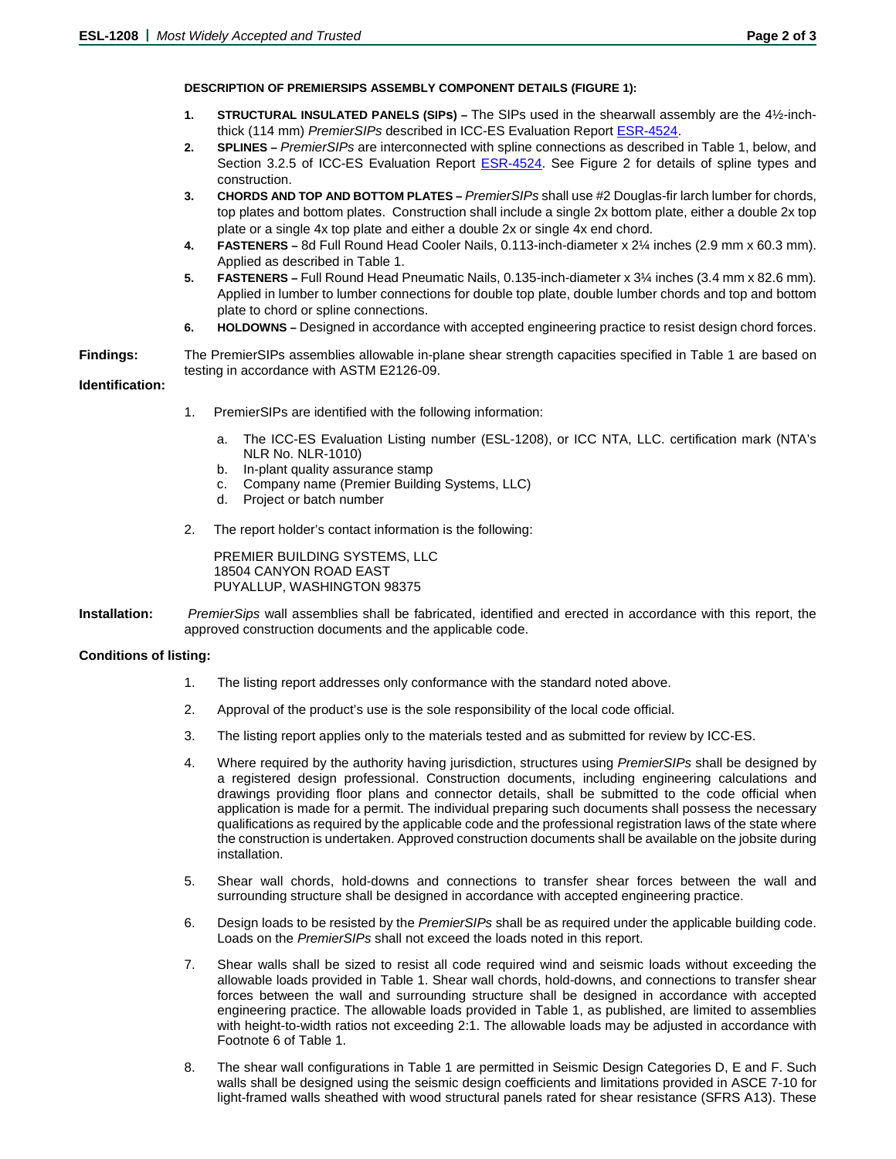## **DESCRIPTION OF PREMIERSIPS ASSEMBLY COMPONENT DETAILS (FIGURE 1):**

- **1. STRUCTURAL INSULATED PANELS (SIPs) –** The SIPs used in the shearwall assembly are the 4½-inchthick (114 mm) *PremierSIPs* described in ICC-ES Evaluation Repor[t ESR-4524.](https://icc-es.org/report-listing/esr-4524/)
- **2. SPLINES –** *PremierSIPs* are interconnected with spline connections as described in Table 1, below, and Section 3.2.5 of ICC-ES Evaluation Report [ESR-4524.](https://icc-es.org/report-listing/esr-4524/) See Figure 2 for details of spline types and construction.
- **3. CHORDS AND TOP AND BOTTOM PLATES –** *PremierSIPs* shall use #2 Douglas-fir larch lumber for chords, top plates and bottom plates. Construction shall include a single 2x bottom plate, either a double 2x top plate or a single 4x top plate and either a double 2x or single 4x end chord.
- **4. FASTENERS –** 8d Full Round Head Cooler Nails, 0.113-inch-diameter x 2¼ inches (2.9 mm x 60.3 mm). Applied as described in Table 1.
- **5. FASTENERS –** Full Round Head Pneumatic Nails, 0.135-inch-diameter x 3¼ inches (3.4 mm x 82.6 mm). Applied in lumber to lumber connections for double top plate, double lumber chords and top and bottom plate to chord or spline connections.
- **6. HOLDOWNS –** Designed in accordance with accepted engineering practice to resist design chord forces.
- **Findings:** The PremierSIPs assemblies allowable in-plane shear strength capacities specified in Table 1 are based on testing in accordance with ASTM E2126-09.

## **Identification:**

- 1. PremierSIPs are identified with the following information:
	- a. The ICC-ES Evaluation Listing number (ESL-1208), or ICC NTA, LLC. certification mark (NTA's NLR No. NLR-1010)
	- b. In-plant quality assurance stamp
	- c. Company name (Premier Building Systems, LLC)
	- d. Project or batch number
- 2. The report holder's contact information is the following:

PREMIER BUILDING SYSTEMS, LLC 18504 CANYON ROAD EAST PUYALLUP, WASHINGTON 98375

**Installation:** *PremierSips* wall assemblies shall be fabricated, identified and erected in accordance with this report, the approved construction documents and the applicable code.

# **Conditions of listing:**

- 1. The listing report addresses only conformance with the standard noted above.
- 2. Approval of the product's use is the sole responsibility of the local code official.
- 3. The listing report applies only to the materials tested and as submitted for review by ICC-ES.
- 4. Where required by the authority having jurisdiction, structures using *PremierSIPs* shall be designed by a registered design professional. Construction documents, including engineering calculations and drawings providing floor plans and connector details, shall be submitted to the code official when application is made for a permit. The individual preparing such documents shall possess the necessary qualifications as required by the applicable code and the professional registration laws of the state where the construction is undertaken. Approved construction documents shall be available on the jobsite during installation.
- 5. Shear wall chords, hold-downs and connections to transfer shear forces between the wall and surrounding structure shall be designed in accordance with accepted engineering practice.
- 6. Design loads to be resisted by the *PremierSIPs* shall be as required under the applicable building code. Loads on the *PremierSIPs* shall not exceed the loads noted in this report.
- 7. Shear walls shall be sized to resist all code required wind and seismic loads without exceeding the allowable loads provided in Table 1. Shear wall chords, hold-downs, and connections to transfer shear forces between the wall and surrounding structure shall be designed in accordance with accepted engineering practice. The allowable loads provided in Table 1, as published, are limited to assemblies with height-to-width ratios not exceeding 2:1. The allowable loads may be adjusted in accordance with Footnote 6 of Table 1.
- 8. The shear wall configurations in Table 1 are permitted in Seismic Design Categories D, E and F. Such walls shall be designed using the seismic design coefficients and limitations provided in ASCE 7-10 for light-framed walls sheathed with wood structural panels rated for shear resistance (SFRS A13). These